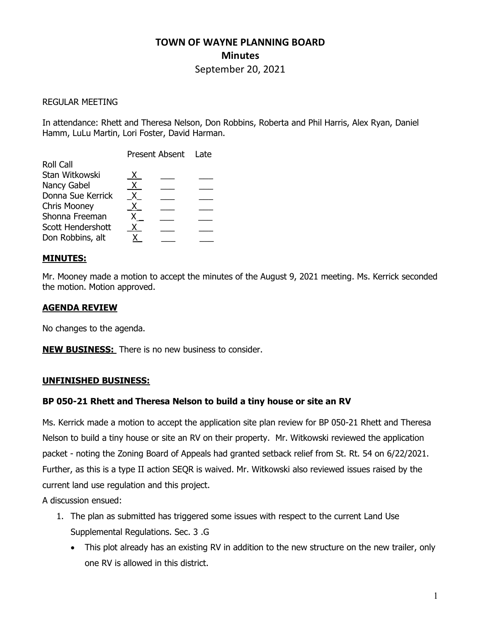# TOWN OF WAYNE PLANNING BOARD **Minutes**

# September 20, 2021

## REGULAR MEETING

In attendance: Rhett and Theresa Nelson, Don Robbins, Roberta and Phil Harris, Alex Ryan, Daniel Hamm, LuLu Martin, Lori Foster, David Harman.

|                     | Present Absent Late |  |  |
|---------------------|---------------------|--|--|
| <b>Roll Call</b>    |                     |  |  |
| Stan Witkowski      | X.                  |  |  |
| Nancy Gabel         | X.                  |  |  |
| Donna Sue Kerrick   | X.                  |  |  |
| <b>Chris Mooney</b> | X.                  |  |  |
| Shonna Freeman      |                     |  |  |
| Scott Hendershott   |                     |  |  |
| Don Robbins, alt    |                     |  |  |

# MINUTES:

Mr. Mooney made a motion to accept the minutes of the August 9, 2021 meeting. Ms. Kerrick seconded the motion. Motion approved.

# AGENDA REVIEW

No changes to the agenda.

**NEW BUSINESS:** There is no new business to consider.

### UNFINISHED BUSINESS:

### BP 050-21 Rhett and Theresa Nelson to build a tiny house or site an RV

Ms. Kerrick made a motion to accept the application site plan review for BP 050-21 Rhett and Theresa Nelson to build a tiny house or site an RV on their property. Mr. Witkowski reviewed the application packet - noting the Zoning Board of Appeals had granted setback relief from St. Rt. 54 on 6/22/2021. Further, as this is a type II action SEQR is waived. Mr. Witkowski also reviewed issues raised by the current land use regulation and this project.

A discussion ensued:

- 1. The plan as submitted has triggered some issues with respect to the current Land Use Supplemental Regulations. Sec. 3 .G
	- This plot already has an existing RV in addition to the new structure on the new trailer, only one RV is allowed in this district.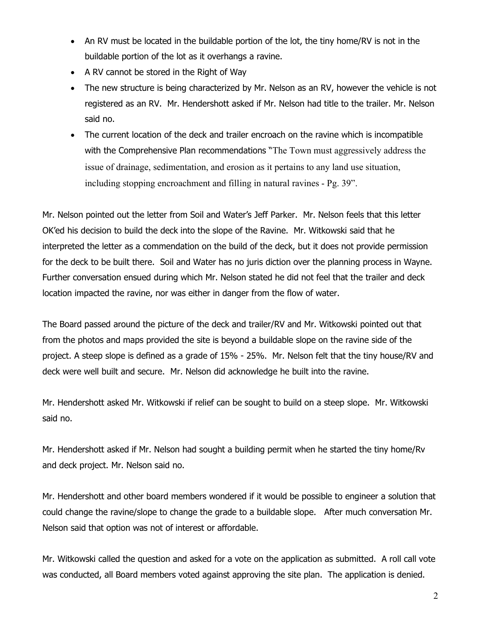- An RV must be located in the buildable portion of the lot, the tiny home/RV is not in the buildable portion of the lot as it overhangs a ravine.
- A RV cannot be stored in the Right of Way
- The new structure is being characterized by Mr. Nelson as an RV, however the vehicle is not registered as an RV. Mr. Hendershott asked if Mr. Nelson had title to the trailer. Mr. Nelson said no.
- The current location of the deck and trailer encroach on the ravine which is incompatible with the Comprehensive Plan recommendations "The Town must aggressively address the issue of drainage, sedimentation, and erosion as it pertains to any land use situation, including stopping encroachment and filling in natural ravines - Pg. 39".

Mr. Nelson pointed out the letter from Soil and Water's Jeff Parker. Mr. Nelson feels that this letter OK'ed his decision to build the deck into the slope of the Ravine. Mr. Witkowski said that he interpreted the letter as a commendation on the build of the deck, but it does not provide permission for the deck to be built there. Soil and Water has no juris diction over the planning process in Wayne. Further conversation ensued during which Mr. Nelson stated he did not feel that the trailer and deck location impacted the ravine, nor was either in danger from the flow of water.

The Board passed around the picture of the deck and trailer/RV and Mr. Witkowski pointed out that from the photos and maps provided the site is beyond a buildable slope on the ravine side of the project. A steep slope is defined as a grade of 15% - 25%. Mr. Nelson felt that the tiny house/RV and deck were well built and secure. Mr. Nelson did acknowledge he built into the ravine.

Mr. Hendershott asked Mr. Witkowski if relief can be sought to build on a steep slope. Mr. Witkowski said no.

Mr. Hendershott asked if Mr. Nelson had sought a building permit when he started the tiny home/Rv and deck project. Mr. Nelson said no.

Mr. Hendershott and other board members wondered if it would be possible to engineer a solution that could change the ravine/slope to change the grade to a buildable slope. After much conversation Mr. Nelson said that option was not of interest or affordable.

Mr. Witkowski called the question and asked for a vote on the application as submitted. A roll call vote was conducted, all Board members voted against approving the site plan. The application is denied.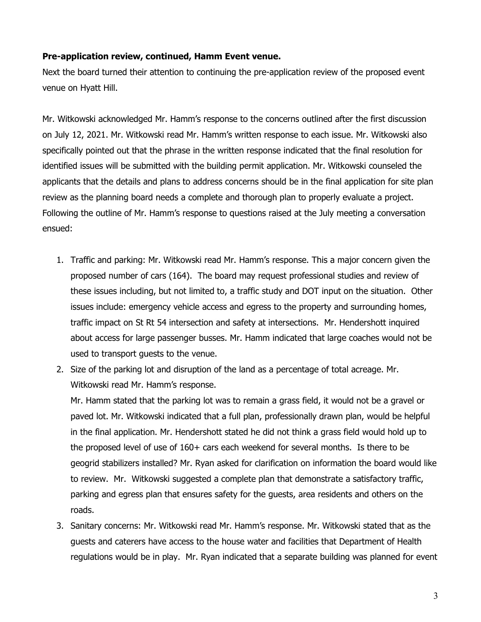## Pre-application review, continued, Hamm Event venue.

Next the board turned their attention to continuing the pre-application review of the proposed event venue on Hyatt Hill.

Mr. Witkowski acknowledged Mr. Hamm's response to the concerns outlined after the first discussion on July 12, 2021. Mr. Witkowski read Mr. Hamm's written response to each issue. Mr. Witkowski also specifically pointed out that the phrase in the written response indicated that the final resolution for identified issues will be submitted with the building permit application. Mr. Witkowski counseled the applicants that the details and plans to address concerns should be in the final application for site plan review as the planning board needs a complete and thorough plan to properly evaluate a project. Following the outline of Mr. Hamm's response to questions raised at the July meeting a conversation ensued:

- 1. Traffic and parking: Mr. Witkowski read Mr. Hamm's response. This a major concern given the proposed number of cars (164). The board may request professional studies and review of these issues including, but not limited to, a traffic study and DOT input on the situation. Other issues include: emergency vehicle access and egress to the property and surrounding homes, traffic impact on St Rt 54 intersection and safety at intersections. Mr. Hendershott inquired about access for large passenger busses. Mr. Hamm indicated that large coaches would not be used to transport guests to the venue.
- 2. Size of the parking lot and disruption of the land as a percentage of total acreage. Mr. Witkowski read Mr. Hamm's response.

Mr. Hamm stated that the parking lot was to remain a grass field, it would not be a gravel or paved lot. Mr. Witkowski indicated that a full plan, professionally drawn plan, would be helpful in the final application. Mr. Hendershott stated he did not think a grass field would hold up to the proposed level of use of 160+ cars each weekend for several months. Is there to be geogrid stabilizers installed? Mr. Ryan asked for clarification on information the board would like to review. Mr. Witkowski suggested a complete plan that demonstrate a satisfactory traffic, parking and egress plan that ensures safety for the guests, area residents and others on the roads.

3. Sanitary concerns: Mr. Witkowski read Mr. Hamm's response. Mr. Witkowski stated that as the guests and caterers have access to the house water and facilities that Department of Health regulations would be in play. Mr. Ryan indicated that a separate building was planned for event